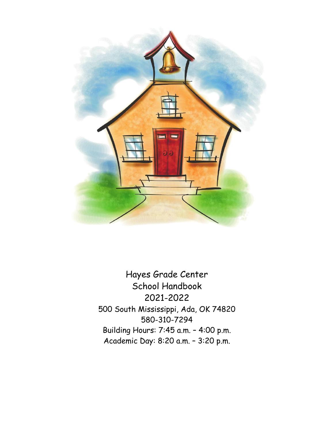

Hayes Grade Center School Handbook 2021-2022 500 South Mississippi, Ada, OK 74820 580-310-7294 Building Hours: 7:45 a.m. – 4:00 p.m. Academic Day: 8:20 a.m. – 3:20 p.m.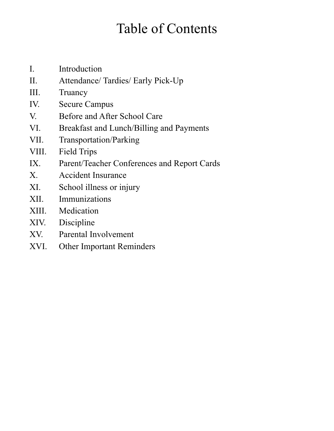# Table of Contents

- I. Introduction
- II. Attendance/ Tardies/ Early Pick-Up
- III. Truancy
- IV. Secure Campus
- V. Before and After School Care
- VI. Breakfast and Lunch/Billing and Payments
- VII. Transportation/Parking
- VIII. Field Trips
- IX. Parent/Teacher Conferences and Report Cards
- X. Accident Insurance
- XI. School illness or injury
- XII. Immunizations
- XIII. Medication
- XIV. Discipline
- XV. Parental Involvement
- XVI. Other Important Reminders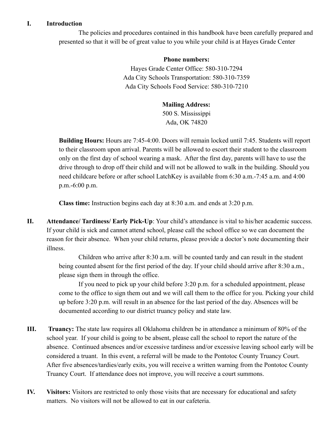### **I. Introduction**

The policies and procedures contained in this handbook have been carefully prepared and presented so that it will be of great value to you while your child is at Hayes Grade Center

#### **Phone numbers:**

Hayes Grade Center Office: 580-310-7294 Ada City Schools Transportation: 580-310-7359 Ada City Schools Food Service: 580-310-7210

#### **Mailing Address:**

500 S. Mississippi Ada, OK 74820

**Building Hours:** Hours are 7:45-4:00. Doors will remain locked until 7:45. Students will report to their classroom upon arrival. Parents will be allowed to escort their student to the classroom only on the first day of school wearing a mask. After the first day, parents will have to use the drive through to drop off their child and will not be allowed to walk in the building. Should you need childcare before or after school LatchKey is available from 6:30 a.m.-7:45 a.m. and 4:00 p.m.-6:00 p.m.

**Class time:** Instruction begins each day at 8:30 a.m. and ends at 3:20 p.m.

**II. Attendance/ Tardiness/ Early Pick-Up**: Your child's attendance is vital to his/her academic success. If your child is sick and cannot attend school, please call the school office so we can document the reason for their absence. When your child returns, please provide a doctor's note documenting their illness.

> Children who arrive after 8:30 a.m. will be counted tardy and can result in the student being counted absent for the first period of the day. If your child should arrive after 8:30 a.m., please sign them in through the office.

If you need to pick up your child before 3:20 p.m. for a scheduled appointment, please come to the office to sign them out and we will call them to the office for you. Picking your child up before 3:20 p.m. will result in an absence for the last period of the day. Absences will be documented according to our district truancy policy and state law.

- **III. Truancy:** The state law requires all Oklahoma children be in attendance a minimum of 80% of the school year. If your child is going to be absent, please call the school to report the nature of the absence. Continued absences and/or excessive tardiness and/or excessive leaving school early will be considered a truant. In this event, a referral will be made to the Pontotoc County Truancy Court. After five absences/tardies/early exits, you will receive a written warning from the Pontotoc County Truancy Court. If attendance does not improve, you will receive a court summons.
- **IV. Visitors:** Visitors are restricted to only those visits that are necessary for educational and safety matters. No visitors will not be allowed to eat in our cafeteria.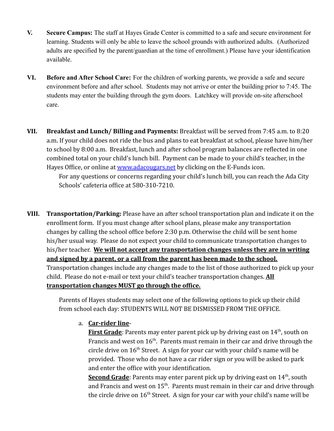- **V. Secure Campus:** The staff at Hayes Grade Center is committed to a safe and secure environment for learning. Students will only be able to leave the school grounds with authorized adults. (Authorized adults are specified by the parent/guardian at the time of enrollment.) Please have your identification available.
- **VI. Before and After School Care:** For the children of working parents, we provide a safe and secure environment before and after school. Students may not arrive or enter the building prior to 7:45. The students may enter the building through the gym doors. Latchkey will provide on-site afterschool care.
- **VII. Breakfast and Lunch/ Billing and Payments:** Breakfast will be served from 7:45 a.m. to 8:20 a.m. If your child does not ride the bus and plans to eat breakfast at school, please have him/her to school by 8:00 a.m. Breakfast, lunch and after school program balances are reflected in one combined total on your child's lunch bill. Payment can be made to your child's teacher, in the Hayes Office, or online at [www.adacougars.net](http://www.adacougars.net) by clicking on the E-Funds icon.

For any questions or concerns regarding your child's lunch bill, you can reach the Ada City Schools' cafeteria office at 580-310-7210.

**VIII. Transportation/Parking:** Please have an after school transportation plan and indicate it on the enrollment form. If you must change after school plans, please make any transportation changes by calling the school office before 2:30 p.m. Otherwise the child will be sent home his/her usual way. Please do not expect your child to communicate transportation changes to his/her teacher. **We will not accept any transportation changes unless they are in writing and signed by a parent, or a call from the parent has been made to the school.** Transportation changes include any changes made to the list of those authorized to pick up your child. Please do not e-mail or text your child's teacher transportation changes. **All transportation changes MUST go through the office.**

> Parents of Hayes students may select one of the following options to pick up their child from school each day: STUDENTS WILL NOT BE DISMISSED FROM THE OFFICE.

## a. **Car-rider line**-

**First Grade**: Parents may enter parent pick up by driving east on 14<sup>th</sup>, south on Francis and west on  $16<sup>th</sup>$ . Parents must remain in their car and drive through the circle drive on  $16<sup>th</sup>$  Street. A sign for your car with your child's name will be provided. Those who do not have a car rider sign or you will be asked to park and enter the office with your identification.

Second Grade: Parents may enter parent pick up by driving east on 14<sup>th</sup>, south and Francis and west on  $15^{\text{th}}$ . Parents must remain in their car and drive through the circle drive on  $16<sup>th</sup>$  Street. A sign for your car with your child's name will be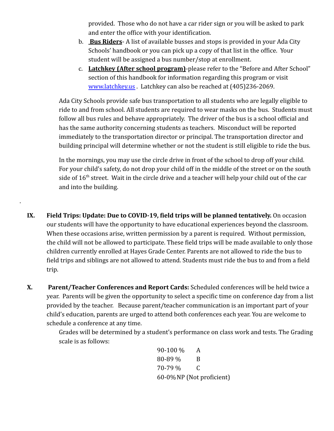provided. Those who do not have a car rider sign or you will be asked to park and enter the office with your identification.

- b. **Bus Riders** A list of available busses and stops is provided in your Ada City Schools' handbook or you can pick up a copy of that list in the office. Your student will be assigned a bus number/stop at enrollment.
- c. **Latchkey (After school program)**-please refer to the "Before and After School" section of this handbook for information regarding this program or visit [www.latchkey.us](http://www.latchkey.us) . Latchkey can also be reached at (405)236-2069.

Ada City Schools provide safe bus transportation to all students who are legally eligible to ride to and from school. All students are required to wear masks on the bus. Students must follow all bus rules and behave appropriately. The driver of the bus is a school official and has the same authority concerning students as teachers. Misconduct will be reported immediately to the transportation director or principal. The transportation director and building principal will determine whether or not the student is still eligible to ride the bus.

In the mornings, you may use the circle drive in front of the school to drop off your child. For your child's safety, do not drop your child off in the middle of the street or on the south side of  $16<sup>th</sup>$  street. Wait in the circle drive and a teacher will help your child out of the car and into the building.

**IX. Field Trips: Update: Due to COVID-19, field trips will be planned tentatively.** On occasion our students will have the opportunity to have educational experiences beyond the classroom. When these occasions arise, written permission by a parent is required. Without permission, the child will not be allowed to participate. These field trips will be made available to only those children currently enrolled at Hayes Grade Center. Parents are not allowed to ride the bus to field trips and siblings are not allowed to attend. Students must ride the bus to and from a field trip.

.

**X. Parent/Teacher Conferences and Report Cards:** Scheduled conferences will be held twice a year. Parents will be given the opportunity to select a specific time on conference day from a list provided by the teacher. Because parent/teacher communication is an important part of your child's education, parents are urged to attend both conferences each year. You are welcome to schedule a conference at any time.

> Grades will be determined by a student's performance on class work and tests. The Grading scale is as follows:

90-100 % A 80-89 % B 70-79 % C 60-0%NP (Not proficient)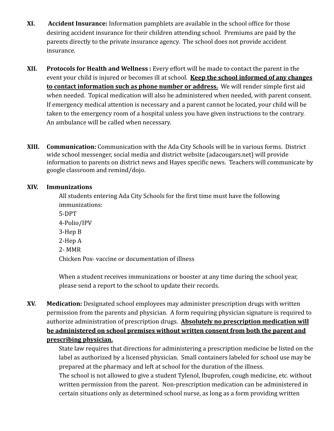- **XI. Accident Insurance:** Information pamphlets are available in the school office for those desiring accident insurance for their children attending school. Premiums are paid by the parents directly to the private insurance agency. The school does not provide accident insurance.
- **XII. Protocols for Health and Wellness :** Every effort will be made to contact the parent in the event your child is injured or becomes ill at school. **Keep the school informed of any changes to contact information such as phone number or address.** We will render simple first aid when needed. Topical medication will also be administered when needed, with parent consent. If emergency medical attention is necessary and a parent cannot be located, your child will be taken to the emergency room of a hospital unless you have given instructions to the contrary. An ambulance will be called when necessary.
- **XIII. Communication:** Communication with the Ada City Schools will be in various forms. District wide school messenger, social media and district website (adacougars.net) will provide information to parents on district news and Hayes specific news. Teachers will communicate by google classroom and remind/dojo.

## **XIV. Immunizations**

All students entering Ada City Schools for the first time must have the following immunizations: 5-DPT 4-Polio/IPV

3-Hep B 2-Hep A 2- MMR

Chicken Pox- vaccine or documentation of illness

When a student receives immunizations or booster at any time during the school year, please send a report to the school to update their records.

**XV. Medication:** Designated school employees may administer prescription drugs with written permission from the parents and physician. A form requiring physician signature is required to authorize administration of prescription drugs. **Absolutely no prescription medication will be administered on school premises without written consent from both the parent and prescribing physician.**

> State law requires that directions for administering a prescription medicine be listed on the label as authorized by a licensed physician. Small containers labeled for school use may be prepared at the pharmacy and left at school for the duration of the illness.

> The school is not allowed to give a student Tylenol, Ibuprofen, cough medicine, etc. without written permission from the parent. Non-prescription medication can be administered in certain situations only as determined school nurse, as long as a form providing written